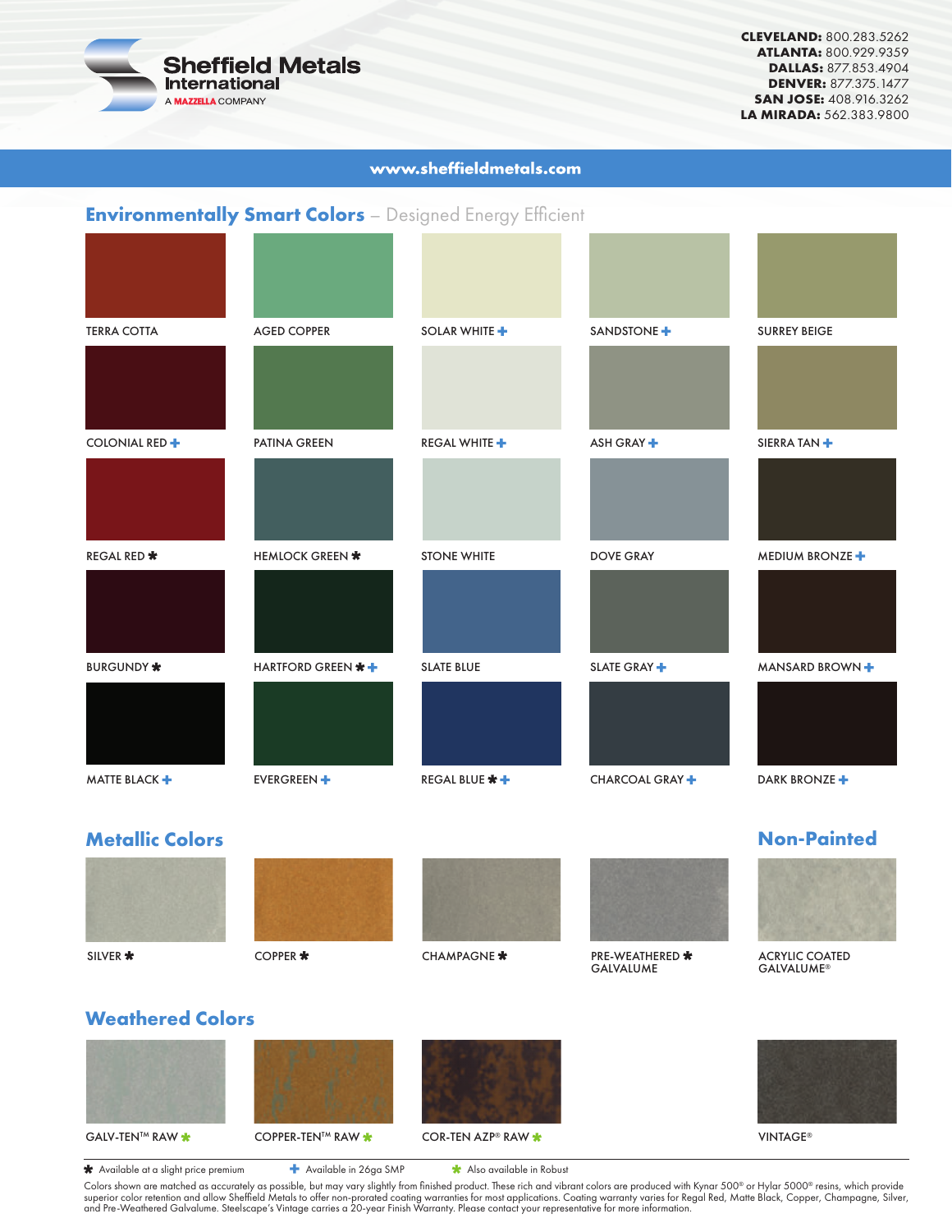

**CLEVELAND:** 800.283.5262 **ATLANTA:** 800.929.9359 **DALLAS:** 877.853.4904 **DENVER:** 877.375.1477 **SAN JOSE:** 408.916.3262 **LA MIRADA:** 562.383.9800

### www.sheffieldmetals.com

## **Environmentally Smart Colors** – Designed Energy Efficient

| <b>TERRA COTTA</b>     | <b>AGED COPPER</b> | SOLAR WHITE +        | SANDSTONE <sup>+</sup>  | <b>SURREY BEIGE</b>        |
|------------------------|--------------------|----------------------|-------------------------|----------------------------|
|                        |                    |                      | ASH GRAY <sup>+</sup>   |                            |
| COLONIAL RED +         | PATINA GREEN       | <b>REGAL WHITE +</b> |                         | SIERRA TAN <sup>+</sup>    |
| <b>REGAL RED *</b>     | HEMLOCK GREEN *    | <b>STONE WHITE</b>   | <b>DOVE GRAY</b>        | MEDIUM BRONZE <sup>+</sup> |
|                        |                    |                      |                         |                            |
| <b>BURGUNDY *</b>      | HARTFORD GREEN * + | <b>SLATE BLUE</b>    | SLATE GRAY <sup>+</sup> | MANSARD BROWN +            |
| MATTE BLACK +          | <b>EVERGREEN +</b> | REGAL BLUE * +       | CHARCOAL GRAY +         | DARK BRONZE <sup>+</sup>   |
| <b>Metallic Colors</b> |                    |                      |                         | <b>Non-Painted</b>         |









GALVALUME



ACRYLIC COATED GALVALUME®

# **Weathered Colors**





Colors shown are matched as accurately as possible, but may vary slightly from finished product. These rich and vibrant colors are produced with Kynar 500® or Hylar 5000® resins, which provide<br>superior color retention and **\***Available at a slight price premium **+** Available in 26ga SMP **\***Also available in Robust